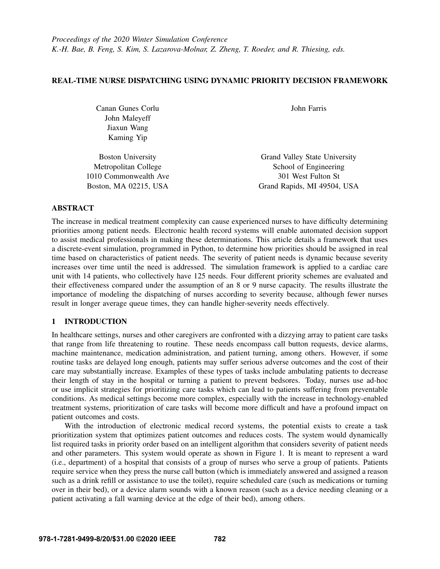# REAL-TIME NURSE DISPATCHING USING DYNAMIC PRIORITY DECISION FRAMEWORK

| Canan Gunes Corlu        | John Farris                   |
|--------------------------|-------------------------------|
| John Maleyeff            |                               |
| Jiaxun Wang              |                               |
| Kaming Yip               |                               |
| <b>Boston University</b> | Grand Valley State University |
| Metropolitan College     | School of Engineering         |
| 1010 Commonwealth Ave    | 301 West Fulton St            |
|                          |                               |

Boston, MA 02215, USA Grand Rapids, MI 49504, USA

## ABSTRACT

The increase in medical treatment complexity can cause experienced nurses to have difficulty determining priorities among patient needs. Electronic health record systems will enable automated decision support to assist medical professionals in making these determinations. This article details a framework that uses a discrete-event simulation, programmed in Python, to determine how priorities should be assigned in real time based on characteristics of patient needs. The severity of patient needs is dynamic because severity increases over time until the need is addressed. The simulation framework is applied to a cardiac care unit with 14 patients, who collectively have 125 needs. Four different priority schemes are evaluated and their effectiveness compared under the assumption of an 8 or 9 nurse capacity. The results illustrate the importance of modeling the dispatching of nurses according to severity because, although fewer nurses result in longer average queue times, they can handle higher-severity needs effectively.

# 1 INTRODUCTION

In healthcare settings, nurses and other caregivers are confronted with a dizzying array to patient care tasks that range from life threatening to routine. These needs encompass call button requests, device alarms, machine maintenance, medication administration, and patient turning, among others. However, if some routine tasks are delayed long enough, patients may suffer serious adverse outcomes and the cost of their care may substantially increase. Examples of these types of tasks include ambulating patients to decrease their length of stay in the hospital or turning a patient to prevent bedsores. Today, nurses use ad-hoc or use implicit strategies for prioritizing care tasks which can lead to patients suffering from preventable conditions. As medical settings become more complex, especially with the increase in technology-enabled treatment systems, prioritization of care tasks will become more difficult and have a profound impact on patient outcomes and costs.

With the introduction of electronic medical record systems, the potential exists to create a task prioritization system that optimizes patient outcomes and reduces costs. The system would dynamically list required tasks in priority order based on an intelligent algorithm that considers severity of patient needs and other parameters. This system would operate as shown in Figure [1.](#page-1-0) It is meant to represent a ward (i.e., department) of a hospital that consists of a group of nurses who serve a group of patients. Patients require service when they press the nurse call button (which is immediately answered and assigned a reason such as a drink refill or assistance to use the toilet), require scheduled care (such as medications or turning over in their bed), or a device alarm sounds with a known reason (such as a device needing cleaning or a patient activating a fall warning device at the edge of their bed), among others.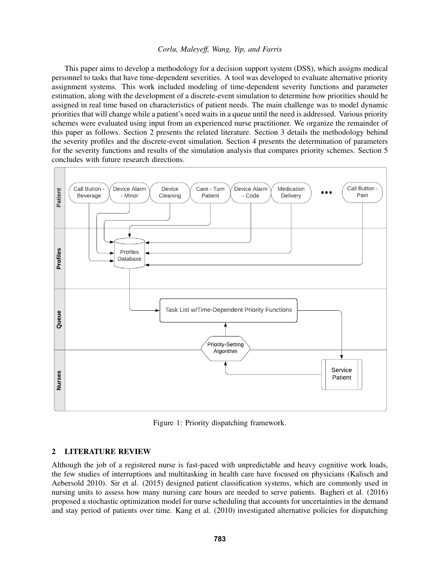This paper aims to develop a methodology for a decision support system (DSS), which assigns medical personnel to tasks that have time-dependent severities. A tool was developed to evaluate alternative priority assignment systems. This work included modeling of time-dependent severity functions and parameter estimation, along with the development of a discrete-event simulation to determine how priorities should be assigned in real time based on characteristics of patient needs. The main challenge was to model dynamic priorities that will change while a patient's need waits in a queue until the need is addressed. Various priority schemes were evaluated using input from an experienced nurse practitioner. We organize the remainder of this paper as follows. Section [2](#page-1-1) presents the related literature. Section [3](#page-3-0) details the methodology behind the severity profiles and the discrete-event simulation. Section [4](#page-6-0) presents the determination of parameters for the severity functions and results of the simulation analysis that compares priority schemes. Section [5](#page-8-0) concludes with future research directions.



<span id="page-1-0"></span>Figure 1: Priority dispatching framework.

## <span id="page-1-1"></span>2 LITERATURE REVIEW

Although the job of a registered nurse is fast-paced with unpredictable and heavy cognitive work loads, the few studies of interruptions and multitasking in health care have focused on physicians [\(Kalisch and](#page-10-0) [Aebersold 2010\)](#page-10-0). [Sir et al. \(2015\)](#page-11-0) designed patient classification systems, which are commonly used in nursing units to assess how many nursing care hours are needed to serve patients. [Bagheri et al. \(2016\)](#page-9-0) proposed a stochastic optimization model for nurse scheduling that accounts for uncertainties in the demand and stay period of patients over time. [Kang et al. \(2010\)](#page-10-1) investigated alternative policies for dispatching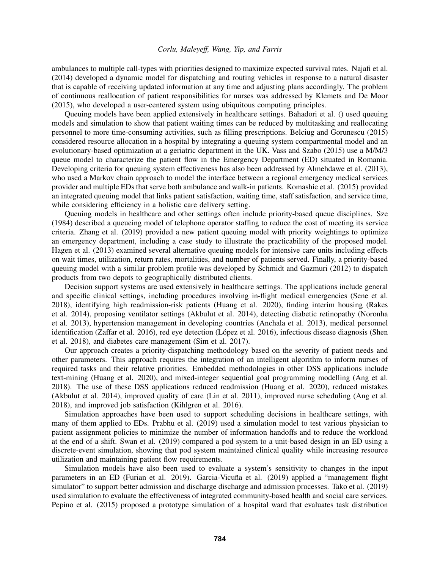ambulances to multiple call-types with priorities designed to maximize expected survival rates. [Najafi et al.](#page-10-2) [\(2014\)](#page-10-2) developed a dynamic model for dispatching and routing vehicles in response to a natural disaster that is capable of receiving updated information at any time and adjusting plans accordingly. The problem of continuous reallocation of patient responsibilities for nurses was addressed by [Klemets and De Moor](#page-10-3) [\(2015\),](#page-10-3) who developed a user-centered system using ubiquitous computing principles.

Queuing models have been applied extensively in healthcare settings. [Bahadori et al. \(\)](#page-10-4) used queuing models and simulation to show that patient waiting times can be reduced by multitasking and reallocating personnel to more time-consuming activities, such as filling prescriptions. [Belciug and Gorunescu \(2015\)](#page-10-5) considered resource allocation in a hospital by integrating a queuing system compartmental model and an evolutionary-based optimization at a geriatric department in the UK. [Vass and Szabo \(2015\)](#page-11-1) use a M/M/3 queue model to characterize the patient flow in the Emergency Department (ED) situated in Romania. Developing criteria for queuing system effectiveness has also been addressed by [Almehdawe et al. \(2013\),](#page-9-1) who used a Markov chain approach to model the interface between a regional emergency medical services provider and multiple EDs that serve both ambulance and walk-in patients. [Komashie et al. \(2015\)](#page-10-6) provided an integrated queuing model that links patient satisfaction, waiting time, staff satisfaction, and service time, while considering efficiency in a holistic care delivery setting.

Queuing models in healthcare and other settings often include priority-based queue disciplines. [Sze](#page-11-2) [\(1984\)](#page-11-2) described a queueing model of telephone operator staffing to reduce the cost of meeting its service criteria. [Zhang et al. \(2019\)](#page-11-3) provided a new patient queuing model with priority weightings to optimize an emergency department, including a case study to illustrate the practicability of the proposed model. [Hagen et al. \(2013\)](#page-10-7) examined several alternative queuing models for intensive care units including effects on wait times, utilization, return rates, mortalities, and number of patients served. Finally, a priority-based queuing model with a similar problem profile was developed by [Schmidt and Gazmuri \(2012\)](#page-11-4) to dispatch products from two depots to geographically distributed clients.

Decision support systems are used extensively in healthcare settings. The applications include general and specific clinical settings, including procedures involving in-flight medical emergencies [\(Sene et al.](#page-11-5) [2018\)](#page-11-5), identifying high readmission-risk patients [\(Huang et al. 2020\)](#page-10-8), finding interim housing [\(Rakes](#page-11-6) [et al. 2014\)](#page-11-6), proposing ventilator settings [\(Akbulut et al. 2014\)](#page-9-2), detecting diabetic retinopathy [\(Noronha](#page-10-9) [et al. 2013\)](#page-10-9), hypertension management in developing countries [\(Anchala et al. 2013\)](#page-9-3), medical personnel identification [\(Zaffar et al. 2016\)](#page-11-7), red eye detection (López et al. 2016), infectious disease diagnosis [\(Shen](#page-11-8) [et al. 2018\)](#page-11-8), and diabetes care management [\(Sim et al. 2017\)](#page-11-9).

Our approach creates a priority-dispatching methodology based on the severity of patient needs and other parameters. This approach requires the integration of an intelligent algorithm to inform nurses of required tasks and their relative priorities. Embedded methodologies in other DSS applications include text-mining [\(Huang et al. 2020\)](#page-10-8), and mixed-integer sequential goal programming modelling [\(Ang et al.](#page-9-4) [2018\)](#page-9-4). The use of these DSS applications reduced readmission [\(Huang et al. 2020\)](#page-10-8), reduced mistakes [\(Akbulut et al. 2014\)](#page-9-2), improved quality of care [\(Lin et al. 2011\)](#page-10-11), improved nurse scheduling [\(Ang et al.](#page-9-4) [2018\)](#page-9-4), and improved job satisfaction [\(Kihlgren et al. 2016\)](#page-10-12).

Simulation approaches have been used to support scheduling decisions in healthcare settings, with many of them applied to EDs. [Prabhu et al. \(2019\)](#page-10-13) used a simulation model to test various physician to patient assignment policies to minimize the number of information handoffs and to reduce the workload at the end of a shift. [Swan et al. \(2019\)](#page-11-10) compared a pod system to a unit-based design in an ED using a discrete-event simulation, showing that pod system maintained clinical quality while increasing resource utilization and maintaining patient flow requirements.

Simulation models have also been used to evaluate a system's sensitivity to changes in the input parameters in an ED [\(Furian et al. 2019\)](#page-10-14). Garcia-Vicuña et al. (2019) applied a "management flight simulator" to support better admission and discharge discharge and admission processes. [Tako et al. \(2019\)](#page-11-11) used simulation to evaluate the effectiveness of integrated community-based health and social care services. [Pepino et al. \(2015\)](#page-10-16) proposed a prototype simulation of a hospital ward that evaluates task distribution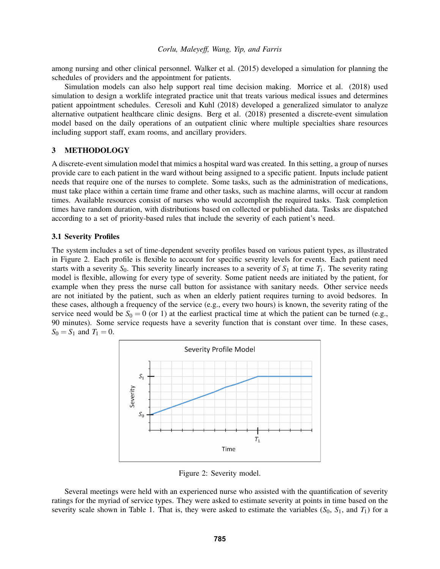among nursing and other clinical personnel. [Walker et al. \(2015\)](#page-11-12) developed a simulation for planning the schedules of providers and the appointment for patients.

Simulation models can also help support real time decision making. [Morrice et al. \(2018\)](#page-10-17) used simulation to design a worklife integrated practice unit that treats various medical issues and determines patient appointment schedules. [Ceresoli and Kuhl \(2018\)](#page-10-18) developed a generalized simulator to analyze alternative outpatient healthcare clinic designs. [Berg et al. \(2018\)](#page-10-19) presented a discrete-event simulation model based on the daily operations of an outpatient clinic where multiple specialties share resources including support staff, exam rooms, and ancillary providers.

# <span id="page-3-0"></span>3 METHODOLOGY

A discrete-event simulation model that mimics a hospital ward was created. In this setting, a group of nurses provide care to each patient in the ward without being assigned to a specific patient. Inputs include patient needs that require one of the nurses to complete. Some tasks, such as the administration of medications, must take place within a certain time frame and other tasks, such as machine alarms, will occur at random times. Available resources consist of nurses who would accomplish the required tasks. Task completion times have random duration, with distributions based on collected or published data. Tasks are dispatched according to a set of priority-based rules that include the severity of each patient's need.

# 3.1 Severity Profiles

The system includes a set of time-dependent severity profiles based on various patient types, as illustrated in Figure [2.](#page-3-1) Each profile is flexible to account for specific severity levels for events. Each patient need starts with a severity  $S_0$ . This severity linearly increases to a severity of  $S_1$  at time  $T_1$ . The severity rating model is flexible, allowing for every type of severity. Some patient needs are initiated by the patient, for example when they press the nurse call button for assistance with sanitary needs. Other service needs are not initiated by the patient, such as when an elderly patient requires turning to avoid bedsores. In these cases, although a frequency of the service (e.g., every two hours) is known, the severity rating of the service need would be  $S_0 = 0$  (or 1) at the earliest practical time at which the patient can be turned (e.g., 90 minutes). Some service requests have a severity function that is constant over time. In these cases,  $S_0 = S_1$  and  $T_1 = 0$ .



<span id="page-3-1"></span>Figure 2: Severity model.

Several meetings were held with an experienced nurse who assisted with the quantification of severity ratings for the myriad of service types. They were asked to estimate severity at points in time based on the severity scale shown in Table [1.](#page-4-0) That is, they were asked to estimate the variables  $(S_0, S_1,$  and  $T_1)$  for a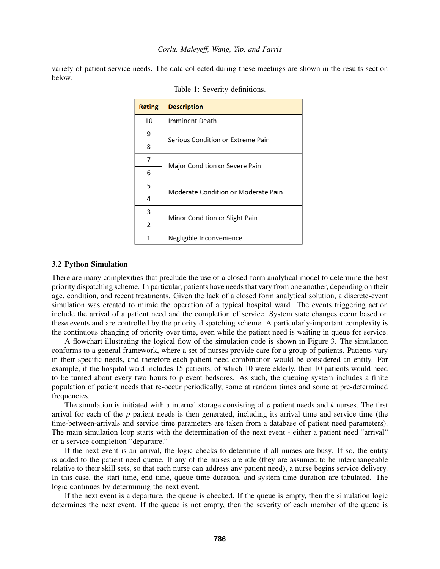variety of patient service needs. The data collected during these meetings are shown in the results section below.

| <b>Rating</b> | <b>Description</b>                  |  |  |  |  |
|---------------|-------------------------------------|--|--|--|--|
| 10            | Imminent Death                      |  |  |  |  |
| 9             | Serious Condition or Extreme Pain   |  |  |  |  |
| 8             |                                     |  |  |  |  |
| 7             | Major Condition or Severe Pain      |  |  |  |  |
| 6             |                                     |  |  |  |  |
| 5             | Moderate Condition or Moderate Pain |  |  |  |  |
| 4             |                                     |  |  |  |  |
| 3             | Minor Condition or Slight Pain      |  |  |  |  |
| 2             |                                     |  |  |  |  |
| 1             | Negligible Inconvenience            |  |  |  |  |

<span id="page-4-0"></span>Table 1: Severity definitions.

#### 3.2 Python Simulation

There are many complexities that preclude the use of a closed-form analytical model to determine the best priority dispatching scheme. In particular, patients have needs that vary from one another, depending on their age, condition, and recent treatments. Given the lack of a closed form analytical solution, a discrete-event simulation was created to mimic the operation of a typical hospital ward. The events triggering action include the arrival of a patient need and the completion of service. System state changes occur based on these events and are controlled by the priority dispatching scheme. A particularly-important complexity is the continuous changing of priority over time, even while the patient need is waiting in queue for service.

A flowchart illustrating the logical flow of the simulation code is shown in Figure [3.](#page-5-0) The simulation conforms to a general framework, where a set of nurses provide care for a group of patients. Patients vary in their specific needs, and therefore each patient-need combination would be considered an entity. For example, if the hospital ward includes 15 patients, of which 10 were elderly, then 10 patients would need to be turned about every two hours to prevent bedsores. As such, the queuing system includes a finite population of patient needs that re-occur periodically, some at random times and some at pre-determined frequencies.

The simulation is initiated with a internal storage consisting of *p* patient needs and *k* nurses. The first arrival for each of the *p* patient needs is then generated, including its arrival time and service time (the time-between-arrivals and service time parameters are taken from a database of patient need parameters). The main simulation loop starts with the determination of the next event - either a patient need "arrival" or a service completion "departure."

If the next event is an arrival, the logic checks to determine if all nurses are busy. If so, the entity is added to the patient need queue. If any of the nurses are idle (they are assumed to be interchangeable relative to their skill sets, so that each nurse can address any patient need), a nurse begins service delivery. In this case, the start time, end time, queue time duration, and system time duration are tabulated. The logic continues by determining the next event.

If the next event is a departure, the queue is checked. If the queue is empty, then the simulation logic determines the next event. If the queue is not empty, then the severity of each member of the queue is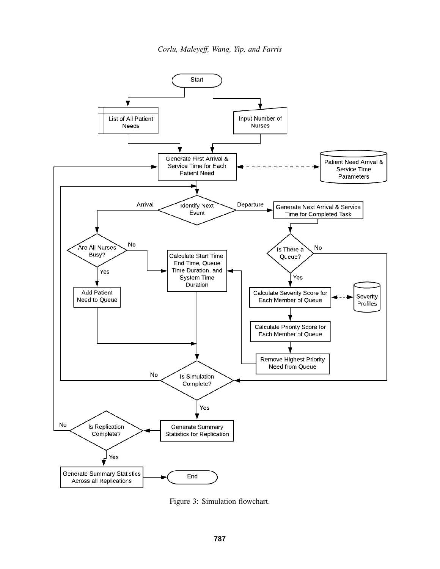*Corlu, Maleyeff, Wang, Yip, and Farris*



<span id="page-5-0"></span>Figure 3: Simulation flowchart.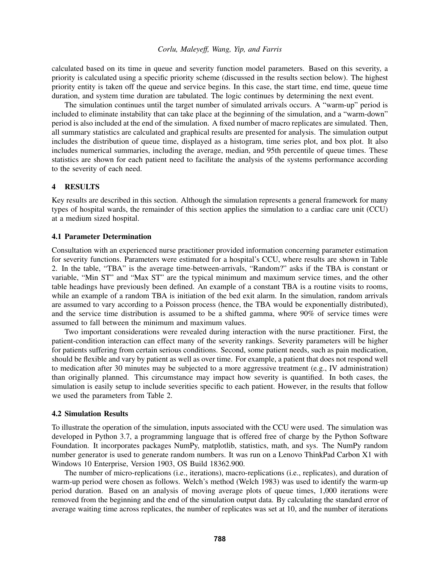calculated based on its time in queue and severity function model parameters. Based on this severity, a priority is calculated using a specific priority scheme (discussed in the results section below). The highest priority entity is taken off the queue and service begins. In this case, the start time, end time, queue time duration, and system time duration are tabulated. The logic continues by determining the next event.

The simulation continues until the target number of simulated arrivals occurs. A "warm-up" period is included to eliminate instability that can take place at the beginning of the simulation, and a "warm-down" period is also included at the end of the simulation. A fixed number of macro replicates are simulated. Then, all summary statistics are calculated and graphical results are presented for analysis. The simulation output includes the distribution of queue time, displayed as a histogram, time series plot, and box plot. It also includes numerical summaries, including the average, median, and 95th percentile of queue times. These statistics are shown for each patient need to facilitate the analysis of the systems performance according to the severity of each need.

## <span id="page-6-0"></span>4 RESULTS

Key results are described in this section. Although the simulation represents a general framework for many types of hospital wards, the remainder of this section applies the simulation to a cardiac care unit (CCU) at a medium sized hospital.

### 4.1 Parameter Determination

Consultation with an experienced nurse practitioner provided information concerning parameter estimation for severity functions. Parameters were estimated for a hospital's CCU, where results are shown in Table [2.](#page-7-0) In the table, "TBA" is the average time-between-arrivals, "Random?" asks if the TBA is constant or variable, "Min ST" and "Max ST" are the typical minimum and maximum service times, and the other table headings have previously been defined. An example of a constant TBA is a routine visits to rooms, while an example of a random TBA is initiation of the bed exit alarm. In the simulation, random arrivals are assumed to vary according to a Poisson process (hence, the TBA would be exponentially distributed), and the service time distribution is assumed to be a shifted gamma, where 90% of service times were assumed to fall between the minimum and maximum values.

Two important considerations were revealed during interaction with the nurse practitioner. First, the patient-condition interaction can effect many of the severity rankings. Severity parameters will be higher for patients suffering from certain serious conditions. Second, some patient needs, such as pain medication, should be flexible and vary by patient as well as over time. For example, a patient that does not respond well to medication after 30 minutes may be subjected to a more aggressive treatment (e.g., IV administration) than originally planned. This circumstance may impact how severity is quantified. In both cases, the simulation is easily setup to include severities specific to each patient. However, in the results that follow we used the parameters from Table [2.](#page-7-0)

#### 4.2 Simulation Results

To illustrate the operation of the simulation, inputs associated with the CCU were used. The simulation was developed in Python 3.7, a programming language that is offered free of charge by the Python Software Foundation. It incorporates packages NumPy, matplotlib, statistics, math, and sys. The NumPy random number generator is used to generate random numbers. It was run on a Lenovo ThinkPad Carbon X1 with Windows 10 Enterprise, Version 1903, OS Build 18362.900.

The number of micro-replications (i.e., iterations), macro-replications (i.e., replicates), and duration of warm-up period were chosen as follows. Welch's method [\(Welch 1983\)](#page-11-13) was used to identify the warm-up period duration. Based on an analysis of moving average plots of queue times, 1,000 iterations were removed from the beginning and the end of the simulation output data. By calculating the standard error of average waiting time across replicates, the number of replicates was set at 10, and the number of iterations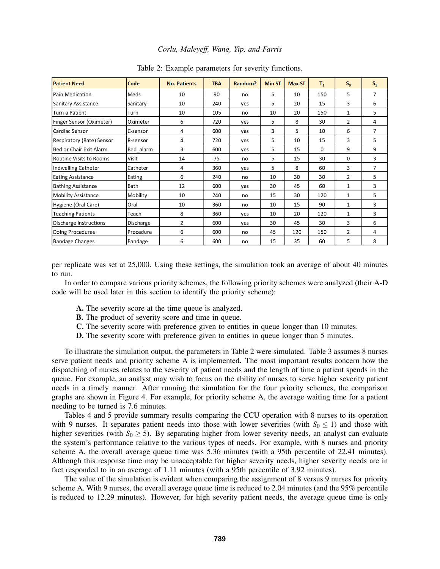| <b>Patient Need</b>            | Code      | <b>No. Patients</b> | <b>TBA</b> | Random? | <b>Min ST</b> | <b>Max ST</b> | $T_{1}$ | $S_0$        | $S_{1}$        |
|--------------------------------|-----------|---------------------|------------|---------|---------------|---------------|---------|--------------|----------------|
| Pain Medication                | Meds      | 10                  | 90         | no      | 5             | 10            | 150     | 5            | 7              |
| <b>Sanitary Assistance</b>     | Sanitary  | 10                  | 240        | ves     | 5             | 20            | 15      | 3            | 6              |
| Turn a Patient                 | Turn      | 10                  | 105        | no      | 10            | 20            | 150     | 1            | 5              |
| Finger Sensor (Oximeter)       | Oximeter  | 6                   | 720        | yes     | 5             | 8             | 30      | 2            | 4              |
| Cardiac Sensor                 | C-sensor  | 4                   | 600        | yes     | 3             | 5             | 10      | 6            | $\overline{7}$ |
| Respiratory (Rate) Sensor      | R-sensor  | 4                   | 720        | yes     | 5             | 10            | 15      | 3            | 5              |
| Bed or Chair Exit Alarm        | Bed alarm | 3                   | 600        | yes     | 5             | 15            | 0       | 9            | 9              |
| <b>Routine Visits to Rooms</b> | Visit     | 14                  | 75         | no      | 5             | 15            | 30      | 0            | 3              |
| Indwelling Catheter            | Catheter  | 4                   | 360        | yes     | 5             | 8             | 60      | 3            | 7              |
| <b>Eating Assistance</b>       | Eating    | 6                   | 240        | no      | 10            | 30            | 30      | 2            | 5              |
| <b>Bathing Assistance</b>      | Bath      | 12                  | 600        | yes     | 30            | 45            | 60      | $\mathbf{1}$ | 3              |
| <b>Mobility Assistance</b>     | Mobility  | 10                  | 240        | no      | 15            | 30            | 120     | 1            | 5              |
| Hygiene (Oral Care)            | Oral      | 10                  | 360        | no      | 10            | 15            | 90      | 1            | 3              |
| <b>Teaching Patients</b>       | Teach     | 8                   | 360        | yes     | 10            | 20            | 120     | 1            | 3              |
| Discharge Instructions         | Discharge | 2                   | 600        | yes     | 30            | 45            | 30      | 3            | 6              |
| Doing Procedures               | Procedure | 6                   | 600        | no      | 45            | 120           | 150     | 2            | 4              |
| <b>Bandage Changes</b>         | Bandage   | 6                   | 600        | no      | 15            | 35            | 60      | 5            | 8              |

<span id="page-7-0"></span>Table 2: Example parameters for severity functions.

per replicate was set at 25,000. Using these settings, the simulation took an average of about 40 minutes to run.

In order to compare various priority schemes, the following priority schemes were analyzed (their A-D code will be used later in this section to identify the priority scheme):

- A. The severity score at the time queue is analyzed.
- B. The product of severity score and time in queue.
- C. The severity score with preference given to entities in queue longer than 10 minutes.
- D. The severity score with preference given to entities in queue longer than 5 minutes.

To illustrate the simulation output, the parameters in Table [2](#page-7-0) were simulated. Table [3](#page-8-1) assumes 8 nurses serve patient needs and priority scheme A is implemented. The most important results concern how the dispatching of nurses relates to the severity of patient needs and the length of time a patient spends in the queue. For example, an analyst may wish to focus on the ability of nurses to serve higher severity patient needs in a timely manner. After running the simulation for the four priority schemes, the comparison graphs are shown in Figure [4.](#page-9-5) For example, for priority scheme A, the average waiting time for a patient needing to be turned is 7.6 minutes.

Tables [4](#page-8-2) and [5](#page-8-3) provide summary results comparing the CCU operation with 8 nurses to its operation with 9 nurses. It separates patient needs into those with lower severities (with  $S_0 \le 1$ ) and those with higher severities (with  $S_0 \ge 5$ ). By separating higher from lower severity needs, an analyst can evaluate the system's performance relative to the various types of needs. For example, with 8 nurses and priority scheme A, the overall average queue time was 5.36 minutes (with a 95th percentile of 22.41 minutes). Although this response time may be unacceptable for higher severity needs, higher severity needs are in fact responded to in an average of 1.11 minutes (with a 95th percentile of 3.92 minutes).

The value of the simulation is evident when comparing the assignment of 8 versus 9 nurses for priority scheme A. With 9 nurses, the overall average queue time is reduced to 2.04 minutes (and the 95% percentile is reduced to 12.29 minutes). However, for high severity patient needs, the average queue time is only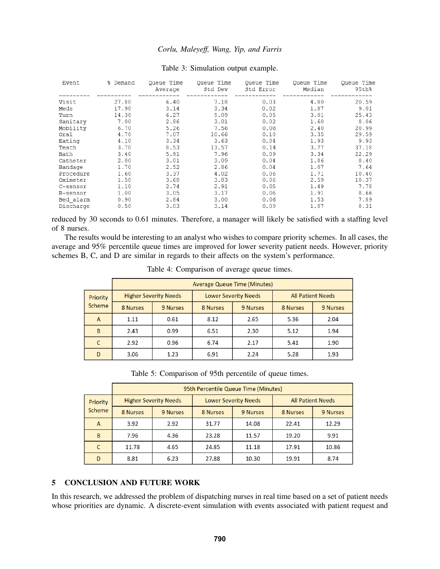| Event     | % Demand | Queue Time<br>Average | Queue Time<br>Std Dev | Queue Time<br>Std Error | Queue Time<br>Median | Queue Time<br>95th% |
|-----------|----------|-----------------------|-----------------------|-------------------------|----------------------|---------------------|
| Visit     | 27.80    | 6.40                  | 7.18                  | 0.03                    | 4.80                 | 20.59               |
| Meds      | 17.90    | 3.14                  | 3.34                  | 0.02                    | 1.87                 | 9.01                |
| Turn      | 14.30    | 6.27                  | 9.09                  | 0.05                    | 3.01                 | 25.43               |
| Sanitarv  | 7.00     | 2.86                  | 3.01                  | 0.02                    | 1.60                 | 8.06                |
| Mobility  | 6.70     | 5.26                  | 7.56                  | 0.06                    | 2.40                 | 20.99               |
| Oral      | 4.70     | 7.07                  | 10.66                 | 0.10                    | 3.35                 | 29.59               |
| Eating    | 4.10     | 3.34                  | 3.63                  | 0.04                    | 1.93                 | 9.93                |
| Teach     | 3.70     | 8.53                  | 13.57                 | 0.14                    | 3.77                 | 37.18               |
| Bath      | 3.40     | 5.91                  | 7.96                  | 0.09                    | 3.34                 | 22.29               |
| Catheter  | 2.00     | 3.01                  | 3.09                  | 0.04                    | 1.86                 | 8.40                |
| Bandage   | 1.70     | 2.52                  | 2.86                  | 0.04                    | 1.07                 | 7.64                |
| Procedure | 1.60     | 3.37                  | 4.02                  | 0.06                    | 1.71                 | 10.40               |
| Oximeter  | 1.50     | 3.68                  | 3.83                  | 0.06                    | 2.59                 | 10.37               |
| C-sensor  | 1.10     | 2.74                  | 2.91                  | 0.05                    | 1.49                 | 7.78                |
| R-sensor  | 1.00     | 3.05                  | 3.17                  | 0.06                    | 1.91                 | 8.66                |
| Bed alarm | 0.90     | 2.84                  | 3.00                  | 0.06                    | 1.53                 | 7.89                |
| Discharge | 0.50     | 3.03                  | 3.14                  | 0.09                    | 1.87                 | 8.31                |
|           |          |                       |                       |                         |                      |                     |

#### <span id="page-8-1"></span>Table 3: Simulation output example.

reduced by 30 seconds to 0.61 minutes. Therefore, a manager will likely be satisfied with a staffing level of 8 nurses.

The results would be interesting to an analyst who wishes to compare priority schemes. In all cases, the average and 95% percentile queue times are improved for lower severity patient needs. However, priority schemes B, C, and D are similar in regards to their affects on the system's performance.

|                 | <b>Average Queue Time (Minutes)</b> |          |                             |          |                          |          |  |  |
|-----------------|-------------------------------------|----------|-----------------------------|----------|--------------------------|----------|--|--|
| <b>Priority</b> | <b>Higher Severity Needs</b>        |          | <b>Lower Severity Needs</b> |          | <b>All Patient Needs</b> |          |  |  |
| Scheme          | 8 Nurses                            | 9 Nurses | 8 Nurses                    | 9 Nurses | 8 Nurses                 | 9 Nurses |  |  |
| A               | 1.11                                | 0.61     | 8.12                        | 2.65     | 5.36                     | 2.04     |  |  |
| B               | 2.43                                | 0.99     | 6.51                        | 2.30     | 5.12                     | 1.94     |  |  |
| C               | 2.92                                | 0.96     | 6.74                        | 2.17     | 5.41                     | 1.90     |  |  |
| D               | 3.06                                | 1.23     | 6.91                        | 2.24     | 5.28                     | 1.93     |  |  |

<span id="page-8-2"></span>Table 4: Comparison of average queue times.

<span id="page-8-3"></span>Table 5: Comparison of 95th percentile of queue times.

|          | 95th Percentile Queue Time (Minutes) |                              |                             |          |                          |          |  |  |
|----------|--------------------------------------|------------------------------|-----------------------------|----------|--------------------------|----------|--|--|
| Priority |                                      | <b>Higher Severity Needs</b> | <b>Lower Severity Needs</b> |          | <b>All Patient Needs</b> |          |  |  |
| Scheme   | 8 Nurses                             | 9 Nurses                     | 8 Nurses                    | 9 Nurses | 8 Nurses                 | 9 Nurses |  |  |
| A        | 3.92                                 | 2.92                         | 31.77                       | 14.08    | 22.41                    | 12.29    |  |  |
| B        | 7.96                                 | 4.36                         | 23.28                       | 11.57    | 19.20                    | 9.91     |  |  |
| C        | 11.78                                | 4.65                         | 24.85                       | 11.18    | 17.91                    | 10.86    |  |  |
| D        | 8.81                                 | 6.23                         | 27.88                       | 10.30    | 19.91                    | 8.74     |  |  |

# <span id="page-8-0"></span>5 CONCLUSION AND FUTURE WORK

In this research, we addressed the problem of dispatching nurses in real time based on a set of patient needs whose priorities are dynamic. A discrete-event simulation with events associated with patient request and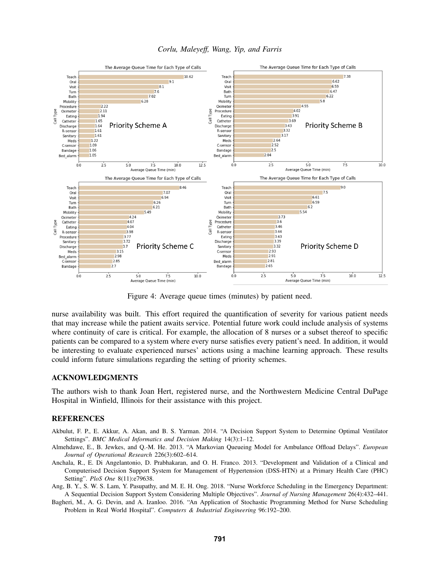



<span id="page-9-5"></span>Figure 4: Average queue times (minutes) by patient need.

nurse availability was built. This effort required the quantification of severity for various patient needs that may increase while the patient awaits service. Potential future work could include analysis of systems where continuity of care is critical. For example, the allocation of 8 nurses or a subset thereof to specific patients can be compared to a system where every nurse satisfies every patient's need. In addition, it would be interesting to evaluate experienced nurses' actions using a machine learning approach. These results could inform future simulations regarding the setting of priority schemes.

## ACKNOWLEDGMENTS

The authors wish to thank Joan Hert, registered nurse, and the Northwestern Medicine Central DuPage Hospital in Winfield, Illinois for their assistance with this project.

### REFERENCES

- <span id="page-9-2"></span>Akbulut, F. P., E. Akkur, A. Akan, and B. S. Yarman. 2014. "A Decision Support System to Determine Optimal Ventilator Settings". *BMC Medical Informatics and Decision Making* 14(3):1–12.
- <span id="page-9-1"></span>Almehdawe, E., B. Jewkes, and Q.-M. He. 2013. "A Markovian Queueing Model for Ambulance Offload Delays". *European Journal of Operational Research* 226(3):602–614.
- <span id="page-9-3"></span>Anchala, R., E. Di Angelantonio, D. Prabhakaran, and O. H. Franco. 2013. "Development and Validation of a Clinical and Computerised Decision Support System for Management of Hypertension (DSS-HTN) at a Primary Health Care (PHC) Setting". *PloS One* 8(11):e79638.
- <span id="page-9-4"></span>Ang, B. Y., S. W. S. Lam, Y. Pasupathy, and M. E. H. Ong. 2018. "Nurse Workforce Scheduling in the Emergency Department: A Sequential Decision Support System Considering Multiple Objectives". *Journal of Nursing Management* 26(4):432–441.
- <span id="page-9-0"></span>Bagheri, M., A. G. Devin, and A. Izanloo. 2016. "An Application of Stochastic Programming Method for Nurse Scheduling Problem in Real World Hospital". *Computers & Industrial Engineering* 96:192–200.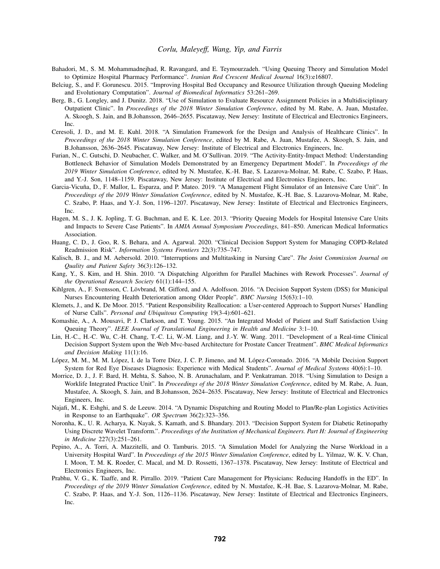- <span id="page-10-4"></span>Bahadori, M., S. M. Mohammadnejhad, R. Ravangard, and E. Teymourzadeh. "Using Queuing Theory and Simulation Model to Optimize Hospital Pharmacy Performance". *Iranian Red Crescent Medical Journal* 16(3):e16807.
- <span id="page-10-5"></span>Belciug, S., and F. Gorunescu. 2015. "Improving Hospital Bed Occupancy and Resource Utilization through Queuing Modeling and Evolutionary Computation". *Journal of Biomedical Informatics* 53:261–269.
- <span id="page-10-19"></span>Berg, B., G. Longley, and J. Dunitz. 2018. "Use of Simulation to Evaluate Resource Assignment Policies in a Multidisciplinary Outpatient Clinic". In *Proceedings of the 2018 Winter Simulation Conference*, edited by M. Rabe, A. Juan, Mustafee, A. Skoogh, S. Jain, and B.Johansson, 2646–2655. Piscataway, New Jersey: Institute of Electrical and Electronics Engineers, Inc.
- <span id="page-10-18"></span>Ceresoli, J. D., and M. E. Kuhl. 2018. "A Simulation Framework for the Design and Analysis of Healthcare Clinics". In *Proceedings of the 2018 Winter Simulation Conference*, edited by M. Rabe, A. Juan, Mustafee, A. Skoogh, S. Jain, and B.Johansson, 2636–2645. Piscataway, New Jersey: Institute of Electrical and Electronics Engineers, Inc.
- <span id="page-10-14"></span>Furian, N., C. Gutschi, D. Neubacher, C. Walker, and M. O'Sullivan. 2019. "The Activity-Entity-Impact Method: Understanding Bottleneck Behavior of Simulation Models Demonstrated by an Emergency Department Model". In *Proceedings of the 2019 Winter Simulation Conference*, edited by N. Mustafee, K.-H. Bae, S. Lazarova-Molnar, M. Rabe, C. Szabo, P. Haas, and Y.-J. Son, 1148–1159. Piscataway, New Jersey: Institute of Electrical and Electronics Engineers, Inc.
- <span id="page-10-15"></span>Garcia-Vicuña, D., F. Mallor, L. Esparza, and P. Mateo. 2019. "A Management Flight Simulator of an Intensive Care Unit". In *Proceedings of the 2019 Winter Simulation Conference*, edited by N. Mustafee, K.-H. Bae, S. Lazarova-Molnar, M. Rabe, C. Szabo, P. Haas, and Y.-J. Son, 1196–1207. Piscataway, New Jersey: Institute of Electrical and Electronics Engineers, Inc.
- <span id="page-10-7"></span>Hagen, M. S., J. K. Jopling, T. G. Buchman, and E. K. Lee. 2013. "Priority Queuing Models for Hospital Intensive Care Units and Impacts to Severe Case Patients". In *AMIA Annual Symposium Proceedings*, 841–850. American Medical Informatics Association.
- <span id="page-10-8"></span>Huang, C. D., J. Goo, R. S. Behara, and A. Agarwal. 2020. "Clinical Decision Support System for Managing COPD-Related Readmission Risk". *Information Systems Frontiers* 22(3):735–747.
- <span id="page-10-0"></span>Kalisch, B. J., and M. Aebersold. 2010. "Interruptions and Multitasking in Nursing Care". *The Joint Commission Journal on Quality and Patient Safety* 36(3):126–132.
- <span id="page-10-1"></span>Kang, Y., S. Kim, and H. Shin. 2010. "A Dispatching Algorithm for Parallel Machines with Rework Processes". *Journal of the Operational Research Society* 61(1):144–155.
- <span id="page-10-12"></span>Kihlgren, A., F. Svensson, C. Lövbrand, M. Gifford, and A. Adolfsson. 2016. "A Decision Support System (DSS) for Municipal Nurses Encountering Health Deterioration among Older People". *BMC Nursing* 15(63):1–10.
- <span id="page-10-3"></span>Klemets, J., and K. De Moor. 2015. "Patient Responsibility Reallocation: a User-centered Approach to Support Nurses' Handling of Nurse Calls". *Personal and Ubiquitous Computing* 19(3-4):601–621.
- <span id="page-10-6"></span>Komashie, A., A. Mousavi, P. J. Clarkson, and T. Young. 2015. "An Integrated Model of Patient and Staff Satisfaction Using Queuing Theory". *IEEE Journal of Translational Engineering in Health and Medicine* 3:1–10.
- <span id="page-10-11"></span>Lin, H.-C., H.-C. Wu, C.-H. Chang, T.-C. Li, W.-M. Liang, and J.-Y. W. Wang. 2011. "Development of a Real-time Clinical Decision Support System upon the Web Mvc-based Architecture for Prostate Cancer Treatment". *BMC Medical Informatics and Decision Making* 11(1):16.
- <span id="page-10-10"></span>López, M. M., M. M. López, I. de la Torre Díez, J. C. P. Jimeno, and M. López-Coronado. 2016. "A Mobile Decision Support System for Red Eye Diseases Diagnosis: Experience with Medical Students". *Journal of Medical Systems* 40(6):1–10.
- <span id="page-10-17"></span>Morrice, D. J., J. F. Bard, H. Mehta, S. Sahoo, N. B. Arunachalam, and P. Venkatraman. 2018. "Using Simulation to Design a Worklife Integrated Practice Unit". In *Proceedings of the 2018 Winter Simulation Conference*, edited by M. Rabe, A. Juan, Mustafee, A. Skoogh, S. Jain, and B.Johansson, 2624–2635. Piscataway, New Jersey: Institute of Electrical and Electronics Engineers, Inc.
- <span id="page-10-2"></span>Najafi, M., K. Eshghi, and S. de Leeuw. 2014. "A Dynamic Dispatching and Routing Model to Plan/Re-plan Logistics Activities in Response to an Earthquake". *OR Spectrum* 36(2):323–356.
- <span id="page-10-9"></span>Noronha, K., U. R. Acharya, K. Nayak, S. Kamath, and S. Bhandary. 2013. "Decision Support System for Diabetic Retinopathy Using Discrete Wavelet Transform.". *Proceedings of the Institution of Mechanical Engineers. Part H: Journal of Engineering in Medicine* 227(3):251–261.
- <span id="page-10-16"></span>Pepino, A., A. Torri, A. Mazzitelli, and O. Tamburis. 2015. "A Simulation Model for Analyzing the Nurse Workload in a University Hospital Ward". In *Proceedings of the 2015 Winter Simulation Conference*, edited by L. Yilmaz, W. K. V. Chan, I. Moon, T. M. K. Roeder, C. Macal, and M. D. Rossetti, 1367–1378. Piscataway, New Jersey: Institute of Electrical and Electronics Engineers, Inc.
- <span id="page-10-13"></span>Prabhu, V. G., K. Taaffe, and R. Pirrallo. 2019. "Patient Care Management for Physicians: Reducing Handoffs in the ED". In *Proceedings of the 2019 Winter Simulation Conference*, edited by N. Mustafee, K.-H. Bae, S. Lazarova-Molnar, M. Rabe, C. Szabo, P. Haas, and Y.-J. Son, 1126–1136. Piscataway, New Jersey: Institute of Electrical and Electronics Engineers, Inc.